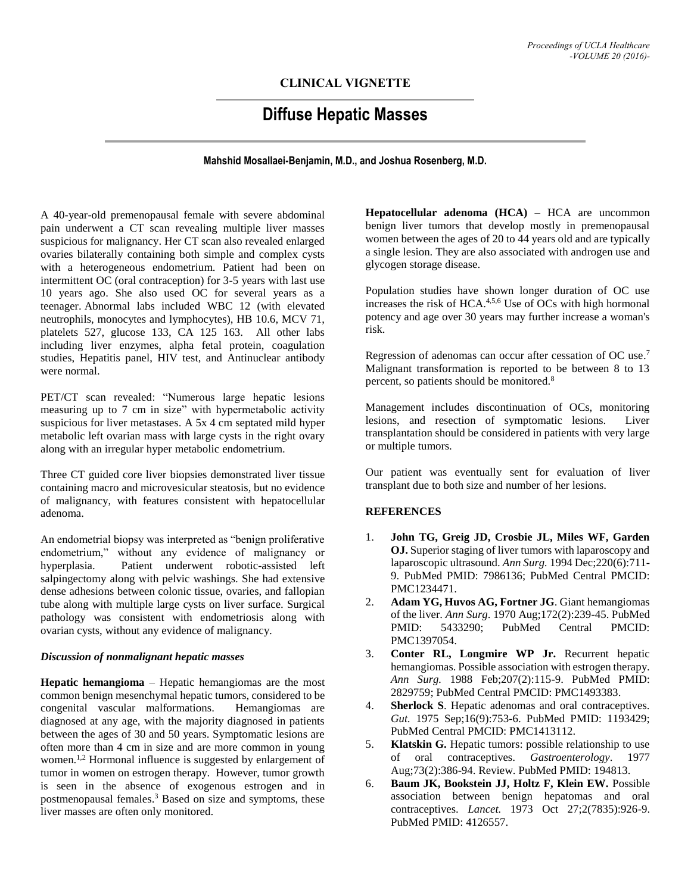## **CLINICAL VIGNETTE**

## **Diffuse Hepatic Masses**

**Mahshid Mosallaei-Benjamin, M.D., and Joshua Rosenberg, M.D.**

A 40-year-old premenopausal female with severe abdominal pain underwent a CT scan revealing multiple liver masses suspicious for malignancy. Her CT scan also revealed enlarged ovaries bilaterally containing both simple and complex cysts with a heterogeneous endometrium. Patient had been on intermittent OC (oral contraception) for 3-5 years with last use 10 years ago. She also used OC for several years as a teenager. Abnormal labs included WBC 12 (with elevated neutrophils, monocytes and lymphocytes), HB 10.6, MCV 71, platelets 527, glucose 133, CA 125 163. All other labs including liver enzymes, alpha fetal protein, coagulation studies, Hepatitis panel, HIV test, and Antinuclear antibody were normal.

PET/CT scan revealed: "Numerous large hepatic lesions measuring up to 7 cm in size" with hypermetabolic activity suspicious for liver metastases. A 5x 4 cm septated mild hyper metabolic left ovarian mass with large cysts in the right ovary along with an irregular hyper metabolic endometrium.

Three CT guided core liver biopsies demonstrated liver tissue containing macro and microvesicular steatosis, but no evidence of malignancy, with features consistent with hepatocellular adenoma.

An endometrial biopsy was interpreted as "benign proliferative endometrium," without any evidence of malignancy or hyperplasia. Patient underwent robotic-assisted left salpingectomy along with pelvic washings. She had extensive dense adhesions between colonic tissue, ovaries, and fallopian tube along with multiple large cysts on liver surface. Surgical pathology was consistent with endometriosis along with ovarian cysts, without any evidence of malignancy.

## *Discussion of nonmalignant hepatic masses*

**Hepatic hemangioma** – Hepatic hemangiomas are the most common benign mesenchymal hepatic tumors, considered to be congenital vascular malformations. Hemangiomas are diagnosed at any age, with the majority diagnosed in patients between the ages of 30 and 50 years. Symptomatic lesions are often more than 4 cm in size and are more common in young women.<sup>1,2</sup> Hormonal influence is suggested by enlargement of tumor in women on estrogen therapy. However, tumor growth is seen in the absence of exogenous estrogen and in postmenopausal females. <sup>3</sup> Based on size and symptoms, these liver masses are often only monitored.

**Hepatocellular adenoma (HCA)** – HCA are uncommon benign liver tumors that develop mostly in premenopausal women between the ages of 20 to 44 years old and are typically a single lesion. They are also associated with androgen use and glycogen storage disease.

Population studies have shown longer duration of OC use increases the risk of HCA.<sup>4,5,6</sup> Use of OCs with high hormonal potency and age over 30 years may further increase a woman's risk.

Regression of adenomas can occur after cessation of OC use.<sup>7</sup> Malignant transformation is reported to be between 8 to 13 percent, so patients should be monitored.<sup>8</sup>

Management includes discontinuation of OCs, monitoring lesions, and resection of symptomatic lesions. Liver transplantation should be considered in patients with very large or multiple tumors.

Our patient was eventually sent for evaluation of liver transplant due to both size and number of her lesions.

## **REFERENCES**

- 1. **John TG, Greig JD, Crosbie JL, Miles WF, Garden OJ.** Superior staging of liver tumors with laparoscopy and laparoscopic ultrasound. *Ann Surg.* 1994 Dec;220(6):711- 9. PubMed PMID: 7986136; PubMed Central PMCID: PMC1234471.
- 2. **Adam YG, Huvos AG, Fortner JG**. Giant hemangiomas of the liver. *Ann Surg*. 1970 Aug;172(2):239-45. PubMed PMID: 5433290; PubMed Central PMCID: PMC1397054.
- 3. **Conter RL, Longmire WP Jr.** Recurrent hepatic hemangiomas. Possible association with estrogen therapy. *Ann Surg.* 1988 Feb;207(2):115-9. PubMed PMID: 2829759; PubMed Central PMCID: PMC1493383.
- 4. **Sherlock S**. Hepatic adenomas and oral contraceptives. *Gut.* 1975 Sep;16(9):753-6. PubMed PMID: 1193429; PubMed Central PMCID: PMC1413112.
- 5. **Klatskin G.** Hepatic tumors: possible relationship to use of oral contraceptives. *Gastroenterology*. 1977 Aug;73(2):386-94. Review. PubMed PMID: 194813.
- 6. **Baum JK, Bookstein JJ, Holtz F, Klein EW.** Possible association between benign hepatomas and oral contraceptives. *Lancet.* 1973 Oct 27;2(7835):926-9. PubMed PMID: 4126557.